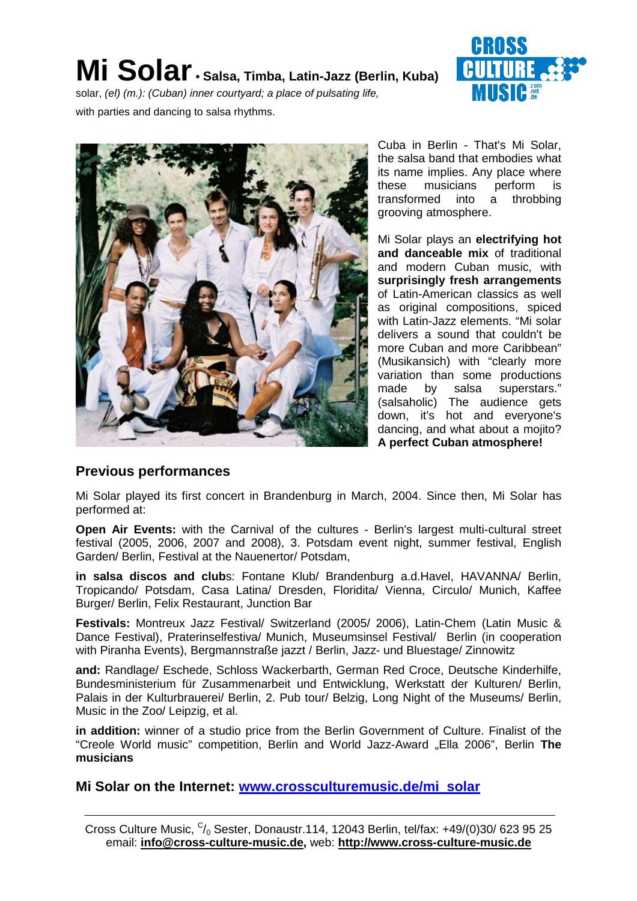# **Mi Solar• Salsa, Timba, Latin-Jazz (Berlin, Kuba)**



solar, (el) (m.): (Cuban) inner courtyard; a place of pulsating life,

with parties and dancing to salsa rhythms.



Cuba in Berlin - That's Mi Solar, the salsa band that embodies what its name implies. Any place where these musicians perform is transformed into a throbbing grooving atmosphere.

Mi Solar plays an **electrifying hot and danceable mix** of traditional and modern Cuban music, with **surprisingly fresh arrangements** of Latin-American classics as well as original compositions, spiced with Latin-Jazz elements. "Mi solar delivers a sound that couldn't be more Cuban and more Caribbean" (Musikansich) with "clearly more variation than some productions made by salsa superstars." (salsaholic) The audience gets down, it's hot and everyone's dancing, and what about a mojito? **A perfect Cuban atmosphere!**

#### **Previous performances**

Mi Solar played its first concert in Brandenburg in March, 2004. Since then, Mi Solar has performed at:

**Open Air Events:** with the Carnival of the cultures - Berlin's largest multi-cultural street festival (2005, 2006, 2007 and 2008), 3. Potsdam event night, summer festival, English Garden/ Berlin, Festival at the Nauenertor/ Potsdam,

**in salsa discos and club**s: Fontane Klub/ Brandenburg a.d.Havel, HAVANNA/ Berlin, Tropicando/ Potsdam, Casa Latina/ Dresden, Floridita/ Vienna, Circulo/ Munich, Kaffee Burger/ Berlin, Felix Restaurant, Junction Bar

**Festivals:** Montreux Jazz Festival/ Switzerland (2005/ 2006), Latin-Chem (Latin Music & Dance Festival), Praterinselfestiva/ Munich, Museumsinsel Festival/ Berlin (in cooperation with Piranha Events), Bergmannstraße jazzt / Berlin, Jazz- und Bluestage/ Zinnowitz

**and:** Randlage/ Eschede, Schloss Wackerbarth, German Red Croce, Deutsche Kinderhilfe, Bundesministerium für Zusammenarbeit und Entwicklung, Werkstatt der Kulturen/ Berlin, Palais in der Kulturbrauerei/ Berlin, 2. Pub tour/ Belzig, Long Night of the Museums/ Berlin, Music in the Zoo/ Leipzig, et al.

**in addition:** winner of a studio price from the Berlin Government of Culture. Finalist of the "Creole World music" competition, Berlin and World Jazz-Award "Ella 2006", Berlin **The musicians**

**Mi Solar on the Internet: www.crossculturemusic.de/mi\_solar**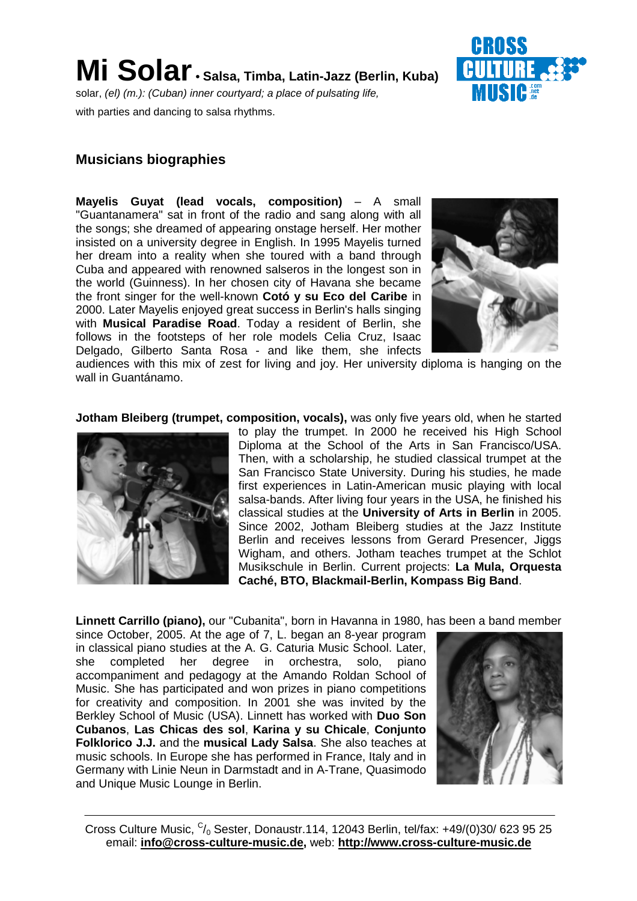

with parties and dancing to salsa rhythms.

#### **Musicians biographies**

**Mayelis Guyat (lead vocals, composition)** – A small "Guantanamera" sat in front of the radio and sang along with all the songs; she dreamed of appearing onstage herself. Her mother insisted on a university degree in English. In 1995 Mayelis turned her dream into a reality when she toured with a band through Cuba and appeared with renowned salseros in the longest son in the world (Guinness). In her chosen city of Havana she became the front singer for the well-known **Cotó y su Eco del Caribe** in 2000. Later Mayelis enjoyed great success in Berlin's halls singing with **Musical Paradise Road**. Today a resident of Berlin, she follows in the footsteps of her role models Celia Cruz, Isaac Delgado, Gilberto Santa Rosa - and like them, she infects



audiences with this mix of zest for living and joy. Her university diploma is hanging on the wall in Guantánamo.

**Jotham Bleiberg (trumpet, composition, vocals),** was only five years old, when he started



to play the trumpet. In 2000 he received his High School Diploma at the School of the Arts in San Francisco/USA. Then, with a scholarship, he studied classical trumpet at the San Francisco State University. During his studies, he made first experiences in Latin-American music playing with local salsa-bands. After living four years in the USA, he finished his classical studies at the **University of Arts in Berlin** in 2005. Since 2002, Jotham Bleiberg studies at the Jazz Institute Berlin and receives lessons from Gerard Presencer, Jiggs Wigham, and others. Jotham teaches trumpet at the Schlot Musikschule in Berlin. Current projects: **La Mula, Orquesta Caché, BTO, Blackmail-Berlin, Kompass Big Band**.

**Linnett Carrillo (piano),** our "Cubanita", born in Havanna in 1980, has been a band member

since October, 2005. At the age of 7, L. began an 8-year program in classical piano studies at the A. G. Caturia Music School. Later, she completed her degree in orchestra, solo, piano accompaniment and pedagogy at the Amando Roldan School of Music. She has participated and won prizes in piano competitions for creativity and composition. In 2001 she was invited by the Berkley School of Music (USA). Linnett has worked with **Duo Son Cubanos**, **Las Chicas des sol**, **Karina y su Chicale**, **Conjunto Folklorico J.J.** and the **musical Lady Salsa**. She also teaches at music schools. In Europe she has performed in France, Italy and in Germany with Linie Neun in Darmstadt and in A-Trane, Quasimodo and Unique Music Lounge in Berlin.

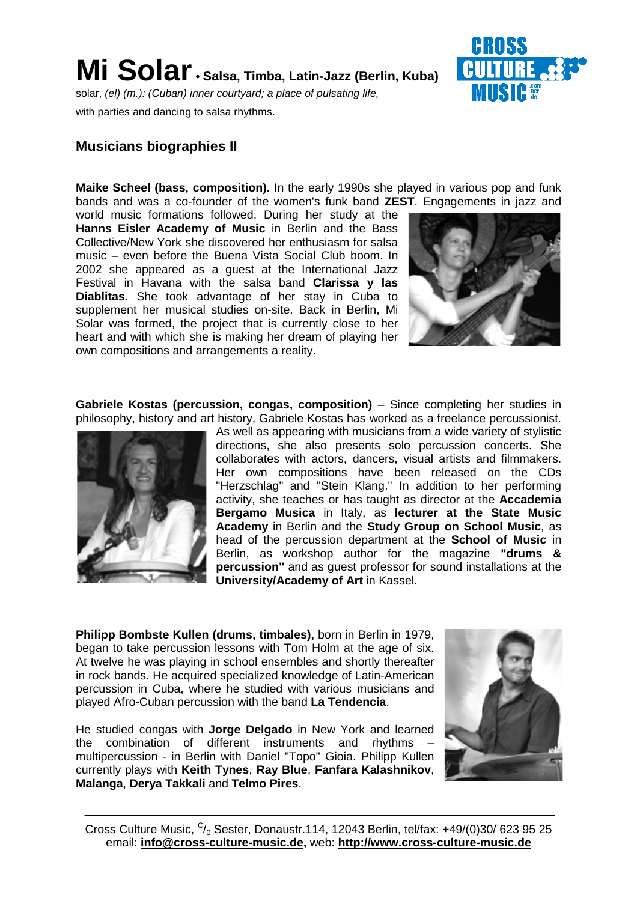

solar, (el) (m.): (Cuban) inner courtyard; a place of pulsating life, with parties and dancing to salsa rhythms.



### **Musicians biographies II**

**Maike Scheel (bass, composition).** In the early 1990s she played in various pop and funk bands and was a co-founder of the women's funk band **ZEST**. Engagements in jazz and

world music formations followed. During her study at the **Hanns Eisler Academy of Music** in Berlin and the Bass Collective/New York she discovered her enthusiasm for salsa music – even before the Buena Vista Social Club boom. In 2002 she appeared as a guest at the International Jazz Festival in Havana with the salsa band **Clarissa y las Diablitas**. She took advantage of her stay in Cuba to supplement her musical studies on-site. Back in Berlin, Mi Solar was formed, the project that is currently close to her heart and with which she is making her dream of playing her own compositions and arrangements a reality.



**Gabriele Kostas (percussion, congas, composition)** – Since completing her studies in philosophy, history and art history, Gabriele Kostas has worked as a freelance percussionist.



As well as appearing with musicians from a wide variety of stylistic directions, she also presents solo percussion concerts. She collaborates with actors, dancers, visual artists and filmmakers. Her own compositions have been released on the CDs "Herzschlag" and "Stein Klang." In addition to her performing activity, she teaches or has taught as director at the **Accademia Bergamo Musica** in Italy, as **lecturer at the State Music Academy** in Berlin and the **Study Group on School Music**, as head of the percussion department at the **School of Music** in Berlin, as workshop author for the magazine **"drums & percussion"** and as guest professor for sound installations at the **University/Academy of Art** in Kassel.

**Philipp Bombste Kullen (drums, timbales),** born in Berlin in 1979, began to take percussion lessons with Tom Holm at the age of six. At twelve he was playing in school ensembles and shortly thereafter in rock bands. He acquired specialized knowledge of Latin-American percussion in Cuba, where he studied with various musicians and played Afro-Cuban percussion with the band **La Tendencia**.

He studied congas with **Jorge Delgado** in New York and learned the combination of different instruments and rhythms – multipercussion - in Berlin with Daniel "Topo" Gioia. Philipp Kullen currently plays with **Keith Tynes**, **Ray Blue**, **Fanfara Kalashnikov**, **Malanga**, **Derya Takkali** and **Telmo Pires**.

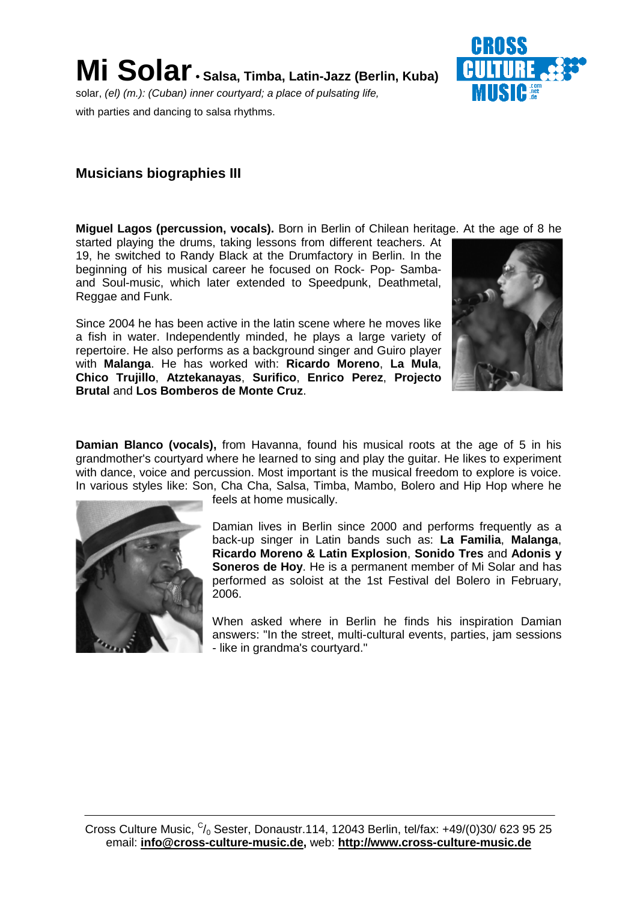

solar, (el) (m.): (Cuban) inner courtyard; a place of pulsating life, with parties and dancing to salsa rhythms.

## **Musicians biographies III**

**Miguel Lagos (percussion, vocals).** Born in Berlin of Chilean heritage. At the age of 8 he

started playing the drums, taking lessons from different teachers. At 19, he switched to Randy Black at the Drumfactory in Berlin. In the beginning of his musical career he focused on Rock- Pop- Sambaand Soul-music, which later extended to Speedpunk, Deathmetal, Reggae and Funk.

Since 2004 he has been active in the latin scene where he moves like a fish in water. Independently minded, he plays a large variety of repertoire. He also performs as a background singer and Guiro player with **Malanga**. He has worked with: **Ricardo Moreno**, **La Mula**, **Chico Trujillo**, **Atztekanayas**, **Surifico**, **Enrico Perez**, **Projecto Brutal** and **Los Bomberos de Monte Cruz**.



**Damian Blanco (vocals),** from Havanna, found his musical roots at the age of 5 in his grandmother's courtyard where he learned to sing and play the guitar. He likes to experiment with dance, voice and percussion. Most important is the musical freedom to explore is voice. In various styles like: Son, Cha Cha, Salsa, Timba, Mambo, Bolero and Hip Hop where he



feels at home musically.

Damian lives in Berlin since 2000 and performs frequently as a back-up singer in Latin bands such as: **La Familia**, **Malanga**, **Ricardo Moreno & Latin Explosion**, **Sonido Tres** and **Adonis y Soneros de Hoy**. He is a permanent member of Mi Solar and has performed as soloist at the 1st Festival del Bolero in February, 2006.

When asked where in Berlin he finds his inspiration Damian answers: "In the street, multi-cultural events, parties, jam sessions - like in grandma's courtyard."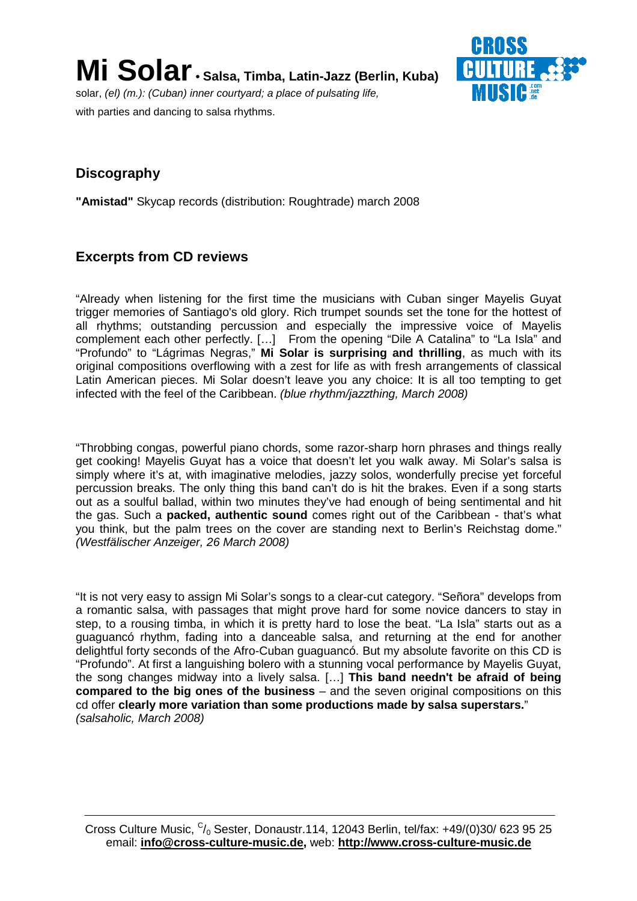**Mi Solar• Salsa, Timba, Latin-Jazz (Berlin, Kuba)** solar, (el) (m.): (Cuban) inner courtyard; a place of pulsating life, with parties and dancing to salsa rhythms.



## **Discography**

**"Amistad"** Skycap records (distribution: Roughtrade) march 2008

### **Excerpts from CD reviews**

"Already when listening for the first time the musicians with Cuban singer Mayelis Guyat trigger memories of Santiago's old glory. Rich trumpet sounds set the tone for the hottest of all rhythms; outstanding percussion and especially the impressive voice of Mayelis complement each other perfectly. […] From the opening "Dile A Catalina" to "La Isla" and "Profundo" to "Lágrimas Negras," **Mi Solar is surprising and thrilling**, as much with its original compositions overflowing with a zest for life as with fresh arrangements of classical Latin American pieces. Mi Solar doesn't leave you any choice: It is all too tempting to get infected with the feel of the Caribbean. (blue rhythm/jazzthing, March 2008)

"Throbbing congas, powerful piano chords, some razor-sharp horn phrases and things really get cooking! Mayelis Guyat has a voice that doesn't let you walk away. Mi Solar's salsa is simply where it's at, with imaginative melodies, jazzy solos, wonderfully precise yet forceful percussion breaks. The only thing this band can't do is hit the brakes. Even if a song starts out as a soulful ballad, within two minutes they've had enough of being sentimental and hit the gas. Such a **packed, authentic sound** comes right out of the Caribbean - that's what you think, but the palm trees on the cover are standing next to Berlin's Reichstag dome." (Westfälischer Anzeiger, 26 March 2008)

"It is not very easy to assign Mi Solar's songs to a clear-cut category. "Señora" develops from a romantic salsa, with passages that might prove hard for some novice dancers to stay in step, to a rousing timba, in which it is pretty hard to lose the beat. "La Isla" starts out as a guaguancó rhythm, fading into a danceable salsa, and returning at the end for another delightful forty seconds of the Afro-Cuban guaguancó. But my absolute favorite on this CD is "Profundo". At first a languishing bolero with a stunning vocal performance by Mayelis Guyat, the song changes midway into a lively salsa. […] **This band needn't be afraid of being compared to the big ones of the business** – and the seven original compositions on this cd offer **clearly more variation than some productions made by salsa superstars.**" (salsaholic, March 2008)